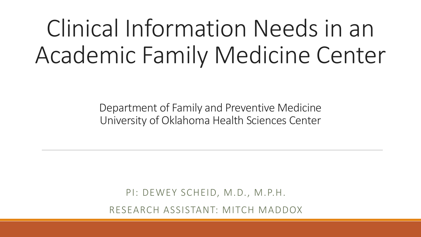# Clinical Information Needs in an Academic Family Medicine Center

Department of Family and Preventive Medicine University of Oklahoma Health Sciences Center

PI: DEWEY SCHEID, M.D., M.P.H. RESEARCH ASSISTANT: MITCH MADDOX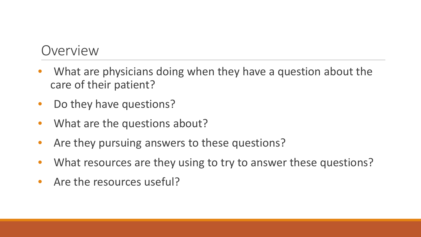- What are physicians doing when they have a question about the care of their patient?
- Do they have questions?
- What are the questions about?
- Are they pursuing answers to these questions?
- What resources are they using to try to answer these questions?
- Are the resources useful?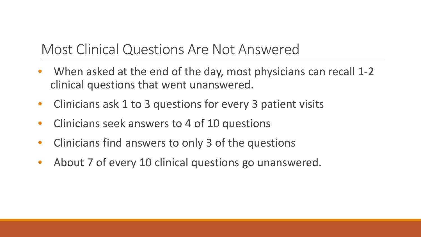#### Most Clinical Questions Are Not Answered

- When asked at the end of the day, most physicians can recall 1-2 clinical questions that went unanswered.
- Clinicians ask 1 to 3 questions for every 3 patient visits
- Clinicians seek answers to 4 of 10 questions
- Clinicians find answers to only 3 of the questions
- About 7 of every 10 clinical questions go unanswered.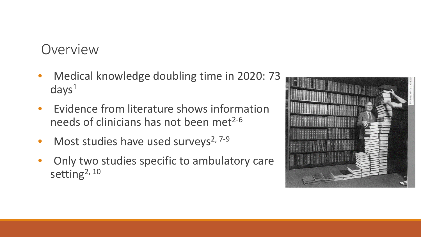- Medical knowledge doubling time in 2020: 73  $days<sup>1</sup>$
- Evidence from literature shows information needs of clinicians has not been met $2-6$
- Most studies have used surveys<sup>2, 7-9</sup>
- Only two studies specific to ambulatory care setting<sup>2, 10</sup>

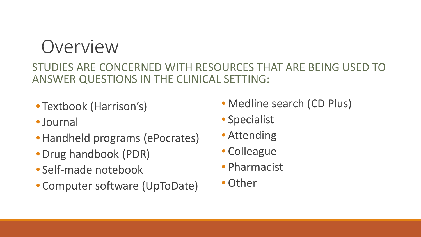STUDIES ARE CONCERNED WITH RESOURCES THAT ARE BEING USED TO ANSWER QUESTIONS IN THE CLINICAL SETTING:

- Textbook (Harrison's)
- •Journal
- Handheld programs (ePocrates)
- Drug handbook (PDR)
- Self-made notebook
- Computer software (UpToDate)
- Medline search (CD Plus)
- Specialist
- Attending
- Colleague
- Pharmacist
- Other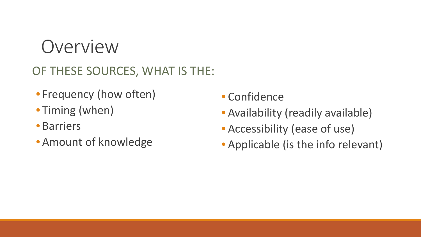#### OF THESE SOURCES, WHAT IS THE:

- Frequency (how often)
- Timing (when)
- Barriers
- Amount of knowledge
- Confidence
- Availability (readily available)
- Accessibility (ease of use)
- Applicable (is the info relevant)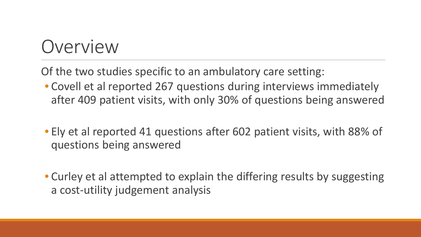Of the two studies specific to an ambulatory care setting:

- Covell et al reported 267 questions during interviews immediately after 409 patient visits, with only 30% of questions being answered
- Ely et al reported 41 questions after 602 patient visits, with 88% of questions being answered
- Curley et al attempted to explain the differing results by suggesting a cost-utility judgement analysis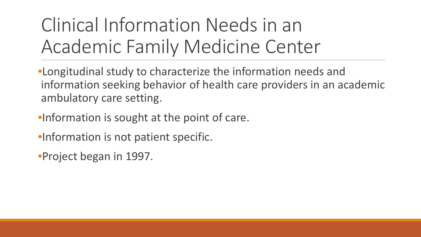# Clinical Information Needs in an Academic Family Medicine Center

•Longitudinal study to characterize the information needs and information seeking behavior of health care providers in an academic ambulatory care setting.

- •Information is sought at the point of care.
- •Information is not patient specific.

•Project began in 1997.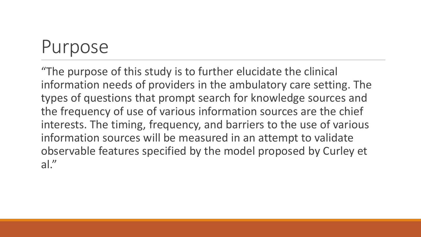#### Purpose

"The purpose of this study is to further elucidate the clinical information needs of providers in the ambulatory care setting. The types of questions that prompt search for knowledge sources and the frequency of use of various information sources are the chief interests. The timing, frequency, and barriers to the use of various information sources will be measured in an attempt to validate observable features specified by the model proposed by Curley et al."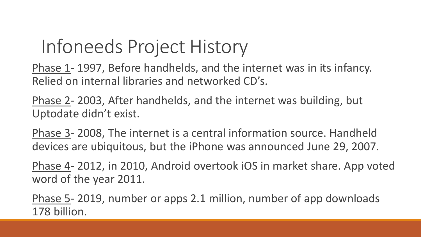# Infoneeds Project History

Phase 1- 1997, Before handhelds, and the internet was in its infancy. Relied on internal libraries and networked CD's.

Phase 2- 2003, After handhelds, and the internet was building, but Uptodate didn't exist.

Phase 3- 2008, The internet is a central information source. Handheld devices are ubiquitous, but the iPhone was announced June 29, 2007.

Phase 4- 2012, in 2010, Android overtook iOS in market share. App voted word of the year 2011.

Phase 5- 2019, number or apps 2.1 million, number of app downloads 178 billion.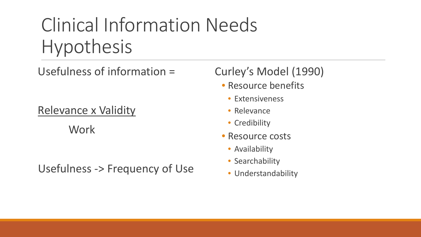# Clinical Information Needs Hypothesis

Usefulness of information =

Relevance x Validity

**Work** 

Usefulness -> Frequency of Use

#### Curley's Model (1990)

- Resource benefits
	- Extensiveness
	- Relevance
	- Credibility
- Resource costs
	- Availability
	- Searchability
	- Understandability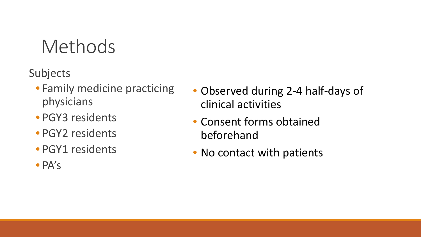Subjects

- Family medicine practicing physicians
- PGY3 residents
- PGY2 residents
- PGY1 residents
- PA's
- Observed during 2-4 half-days of clinical activities
- Consent forms obtained beforehand
- No contact with patients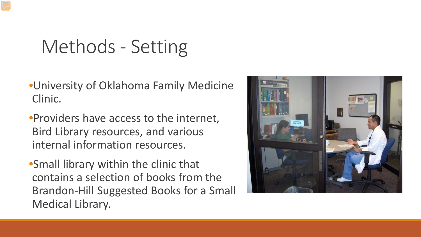# Methods - Setting

- •University of Oklahoma Family Medicine Clinic.
- •Providers have access to the internet, Bird Library resources, and various internal information resources.
- •Small library within the clinic that contains a selection of books from the Brandon-Hill Suggested Books for a Small Medical Library.

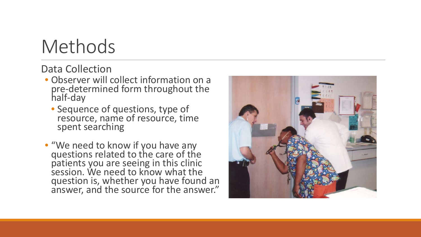Data Collection

- Observer will collect information on a pre-determined form throughout the half-day
	- Sequence of questions, type of resource, name of resource, time spent searching
- "We need to know if you have any questions related to the care of the patients you are seeing in this clinic session. We need to know what the question is, whether you have found an answer, and the source for the answer."

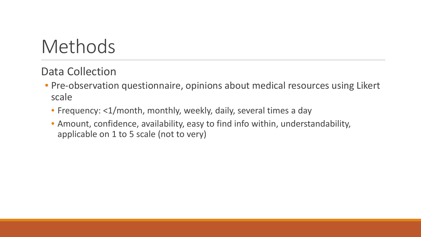Data Collection

- Pre-observation questionnaire, opinions about medical resources using Likert scale
	- Frequency: <1/month, monthly, weekly, daily, several times a day
	- Amount, confidence, availability, easy to find info within, understandability, applicable on 1 to 5 scale (not to very)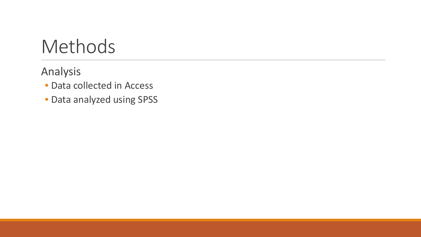Analysis

- Data collected in Access
- Data analyzed using SPSS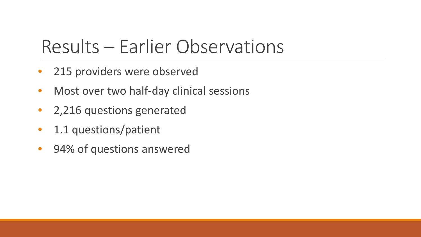# Results – Earlier Observations

- 215 providers were observed
- Most over two half-day clinical sessions
- 2,216 questions generated
- 1.1 questions/patient
- 94% of questions answered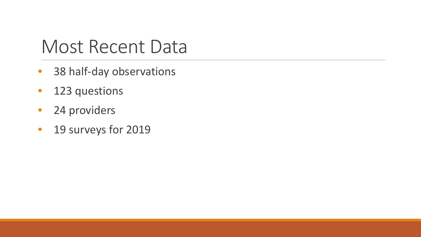### Most Recent Data

- 38 half-day observations
- 123 questions
- 24 providers
- 19 surveys for 2019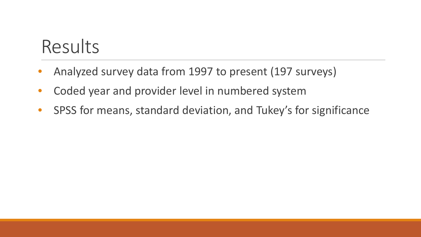## Results

- Analyzed survey data from 1997 to present (197 surveys)
- Coded year and provider level in numbered system
- SPSS for means, standard deviation, and Tukey's for significance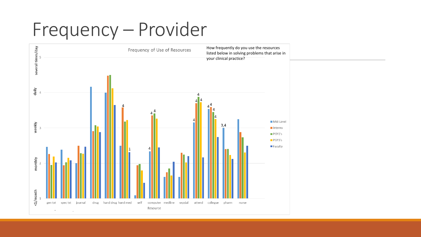# Frequency – Provider

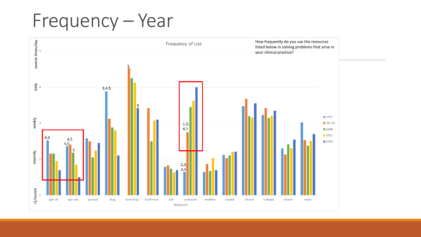# Frequency – Year

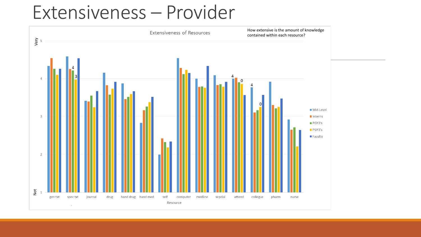#### Extensiveness – Provider

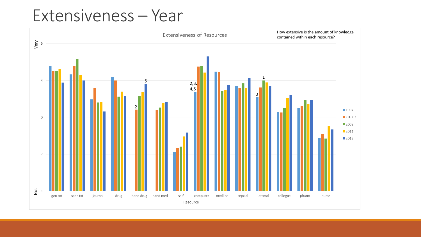#### Extensiveness – Year

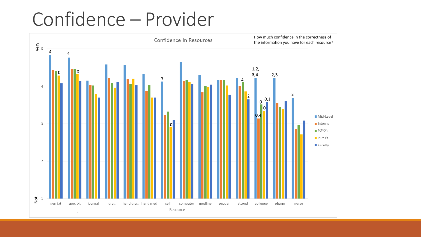# Confidence – Provider

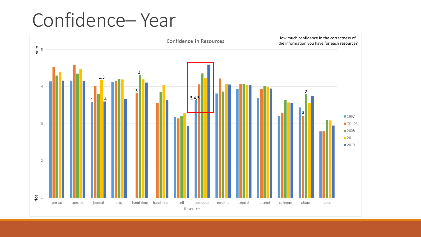# Confidence– Year

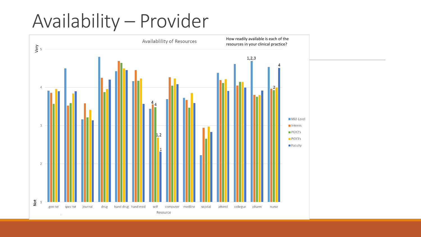# Availability – Provider

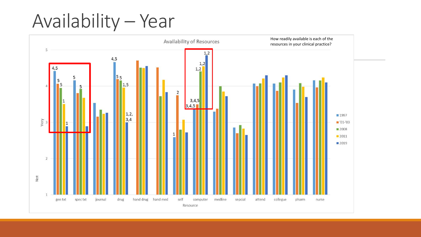# Availability – Year

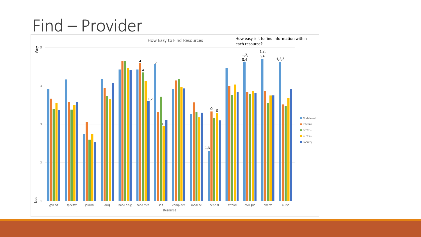### Find – Provider

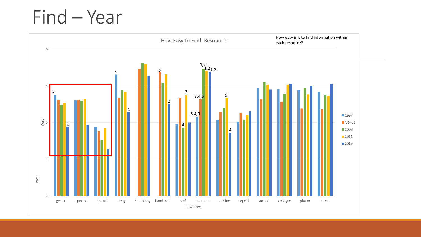# Find – Year

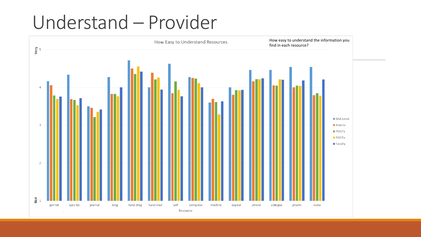### Understand – Provider

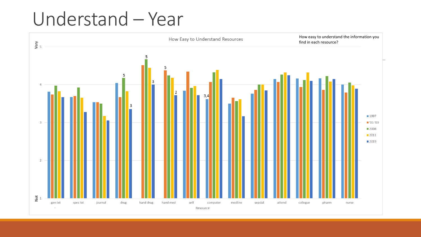# Understand – Year

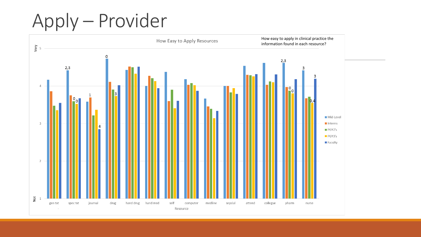# Apply – Provider

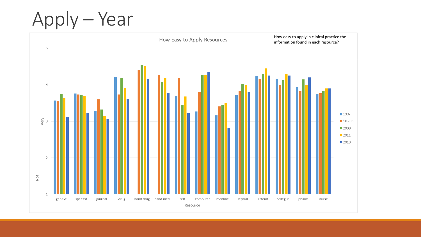Apply – Year

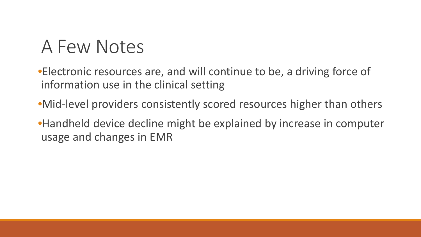### A Few Notes

•Electronic resources are, and will continue to be, a driving force of information use in the clinical setting

•Mid-level providers consistently scored resources higher than others

•Handheld device decline might be explained by increase in computer usage and changes in EMR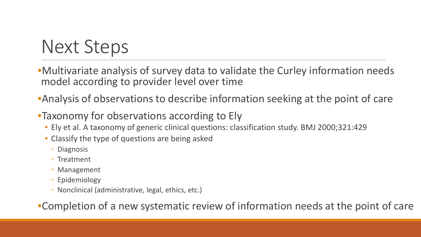# Next Steps

•Multivariate analysis of survey data to validate the Curley information needs model according to provider level over time

•Analysis of observations to describe information seeking at the point of care

- •Taxonomy for observations according to Ely
	- Ely et al. A taxonomy of generic clinical questions: classification study. BMJ 2000;321:429
	- Classify the type of questions are being asked
		- Diagnosis
		- Treatment
		- Management
		- Epidemiology
		- Nonclinical (administrative, legal, ethics, etc.)

•Completion of a new systematic review of information needs at the point of care